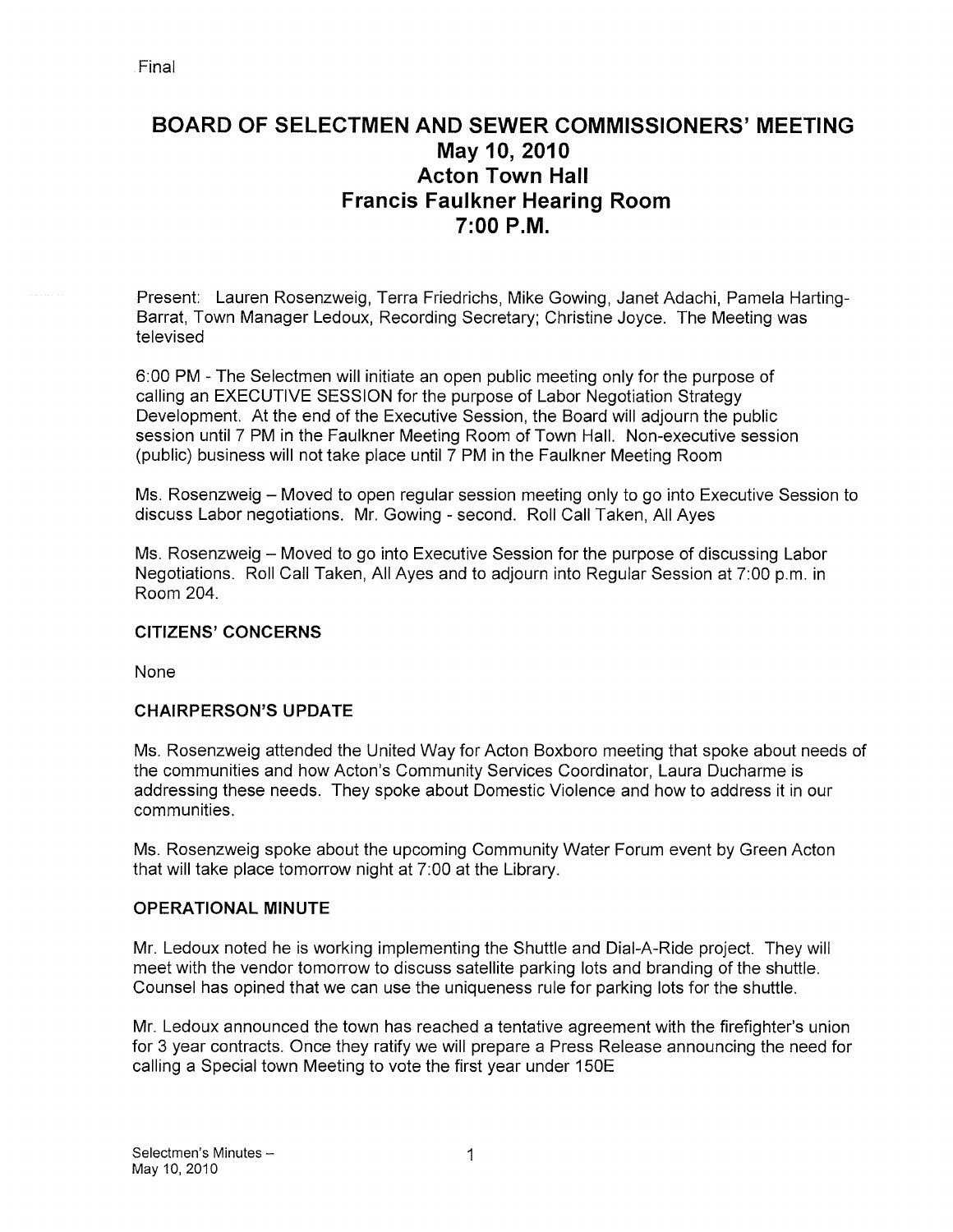# BOARD OF SELECTMEN AND SEWER COMMISSIONERS' MEETING May 10, 2010 Acton Town Hall Francis Faulkner Hearing Room 7:00 P.M.

Present: Lauren Rosenzweig, Terra Friedrichs, Mike Cowing, Janet Adachi, Pamela Harting Barrat, Town Manager Ledoux, Recording Secretary; Christine Joyce. The Meeting was televised

6:00 PM -The Selectmen will initiate an open public meeting only for the purpose of calling an EXECUTIVE SESSION for the purpose of Labor Negotiation Strategy Development. At the end of the Executive Session, the Board will adjourn the public session until 7 PM in the Faulkner Meeting Room of Town Hall. Non-executive session (public) business will not take place until 7 PM in the Faulkner Meeting Room

Ms. Rosenzweig — Moved to open regular session meeting only to go into Executive Session to discuss Labor negotiations. Mr. Cowing -second. Roll Call Taken, All Ayes

Ms. Rosenzweig — Moved to go into Executive Session for the purpose of discussing Labor Negotiations. Roll Call Taken, All Ayes and to adjourn into Regular Session at 7:00 p.m. in Room 204.

## CITIZENS' CONCERNS

None

## CHAIRPERSON'S UPDATE

Ms. Rosenzweig attended the United Way for Acton Boxboro meeting that spoke about needs of the communities and how Acton's Community Services Coordinator, Laura Ducharme is addressing these needs. They spoke about Domestic Violence and how to address it in our communities.

Ms. Rosenzweig spoke about the upcoming Community Water Forum event by Green Acton that will take place tomorrow night at 7:00 at the Library.

#### OPERATIONAL MINUTE

Mr. Ledoux noted he is working implementing the Shuttle and Dial-A-Ride project. They will meet with the vendor tomorrow to discuss satellite parking lots and branding of the shuttle. Counsel has opined that we can use the uniqueness rule for parking lots for the shuttle.

Mr. Ledoux announced the town has reached a tentative agreement with the firefighter's union for 3 year contracts. Once they ratify we will prepare a Press Release announcing the need for calling a Special town Meeting to vote the first year under 150E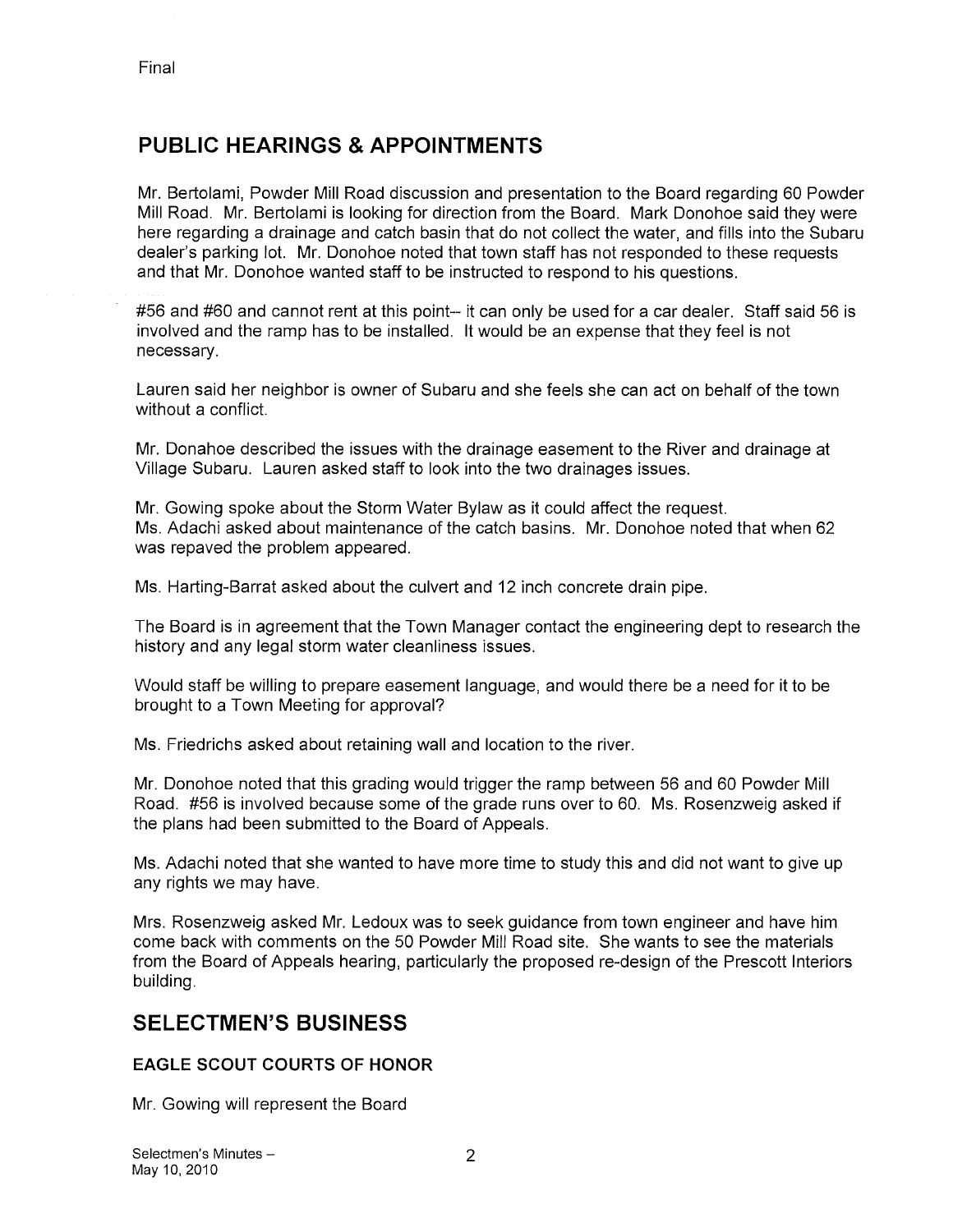# PUBLIC HEARINGS & APPOINTMENTS

Mr. Bertolami, Powder Mill Road discussion and presentation to the Board regarding 60 Powder Mill Road. Mr. Bertolami is looking for direction from the Board. Mark Donohoe said they were here regarding a drainage and catch basin that do not collect the water, and fills into the Subaru dealer's parking lot. Mr. Donohoe noted that town staff has not responded to these requests and that Mr. Donohoe wanted staff to be instructed to respond to his questions.

#56 and #60 and cannot rent at this point-- it can only be used for a car dealer. Staff said 56 is involved and the ramp has to be installed. It would be an expense that they feel is not necessary.

Lauren said her neighbor is owner of Subaru and she feels she can act on behalf of the town without a conflict.

Mr. Donahoe described the issues with the drainage easement to the River and drainage at Village Subaru. Lauren asked staff to look into the two drainages issues.

Mr. Gowing spoke about the Storm Water Bylaw as it could affect the request. Ms. Adachi asked about maintenance of the catch basins. Mr. Donohoe noted that when 62 was repaved the problem appeared.

Ms. Harting-Barrat asked about the culvert and 12 inch concrete drain pipe.

The Board is in agreement that the Town Manager contact the engineering dept to research the history and any legal storm water cleanliness issues.

Would staff be willing to prepare easement language, and would there be a need for it to be brought to a Town Meeting for approval?

Ms. Friedrichs asked about retaining wall and location to the river.

Mr. Donohoe noted that this grading would trigger the ramp between 56 and 60 Powder Mill Road. #56 is involved because some of the grade runs over to 60. Ms. Rosenzweig asked if the plans had been submitted to the Board of Appeals.

Ms. Adachi noted that she wanted to have more time to study this and did not want to give up any rights we may have.

Mrs. Rosenzweig asked Mr. Ledoux was to seek guidance from town engineer and have him come back with comments on the 50 Powder Mill Road site. She wants to see the materials from the Board of Appeals hearing, particularly the proposed re-design of the Prescott Interiors building.

## SELECTMEN'S BUSINESS

## EAGLE SCOUT COURTS OF HONOR

Mr. Gowing will represent the Board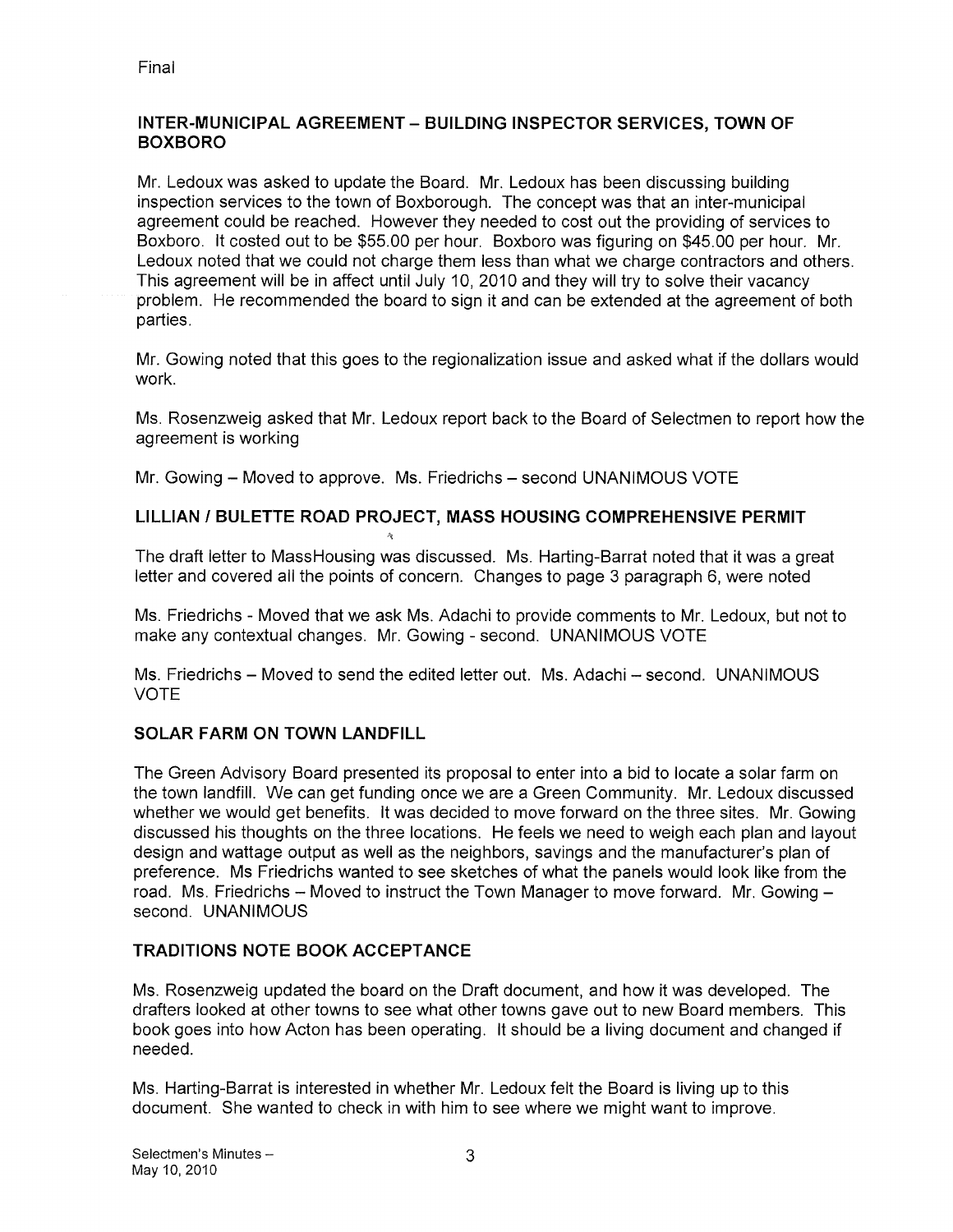## INTER-MUNICIPAL AGREEMENT — BUILDING INSPECTOR SERVICES, TOWN OF BOXBORO

Mr. Ledoux was asked to update the Board. Mr. Ledoux has been discussing building inspection services to the town of Boxborough. The concept was that an inter-municipal agreement could be reached. However they needed to cost out the providing of services to Boxboro. It costed out to be \$55.00 per hour. Boxboro was figuring on \$45.00 per hour. Mr. Ledoux noted that we could not charge them less than what we charge contractors and others. This agreement will be in affect until July 10, 2010 and they will try to solve their vacancy problem. He recommended the board to sign it and can be extended at the agreement of both parties.

Mr. Gowing noted that this goes to the regionalization issue and asked what if the dollars would work.

Ms. Rosenzweig asked that Mr. Ledoux report back to the Board of Selectmen to report how the agreement is working

Mr. Gowing — Moved to approve. Ms. Friedrichs — second UNANIMOUS VOTE

## LILLIAN / BULETTE ROAD PROJECT, MASS HOUSING COMPREHENSIVE PERMIT

The draft letter to MassHousing was discussed. Ms. Harting-Barrat noted that it was a great letter and covered all the points of concern. Changes to page 3 paragraph 6, were noted

Ms. Friedrichs -Moved that we ask Ms. Adachi to provide comments to Mr. Ledoux, but not to make any contextual changes. Mr. Gowing - second. UNANIMOUS VOTE

Ms. Friedrichs — Moved to send the edited letter out. Ms. Adachi — second. UNANIMOUS VOTE

## SOLAR FARM ON TOWN LANDFILL

The Green Advisory Board presented its proposal to enter into a bid to locate a solar farm on the town landfill. We can get funding once we are a Green Community. Mr. Ledoux discussed whether we would get benefits. It was decided to move forward on the three sites. Mr. Gowing discussed his thoughts on the three locations. He feels we need to weigh each plan and layout design and wattage output as well as the neighbors, savings and the manufacturer's plan of preference. Ms Friedrichs wanted to see sketches of what the panels would look like from the road. Ms. Friedrichs — Moved to instruct the Town Manager to move forward. Mr. Gowing second. UNANIMOUS

## TRADITIONS NOTE BOOK ACCEPTANCE

Ms. Rosenzweig updated the board on the Draft document, and how it was developed. The drafters looked at other towns to see what other towns gave out to new Board members. This book goes into how Acton has been operating. It should be a living document and changed if needed.

Ms. Harting-Barrat is interested in whether Mr. Ledoux felt the Board is living up to this document. She wanted to check in with him to see where we might want to improve.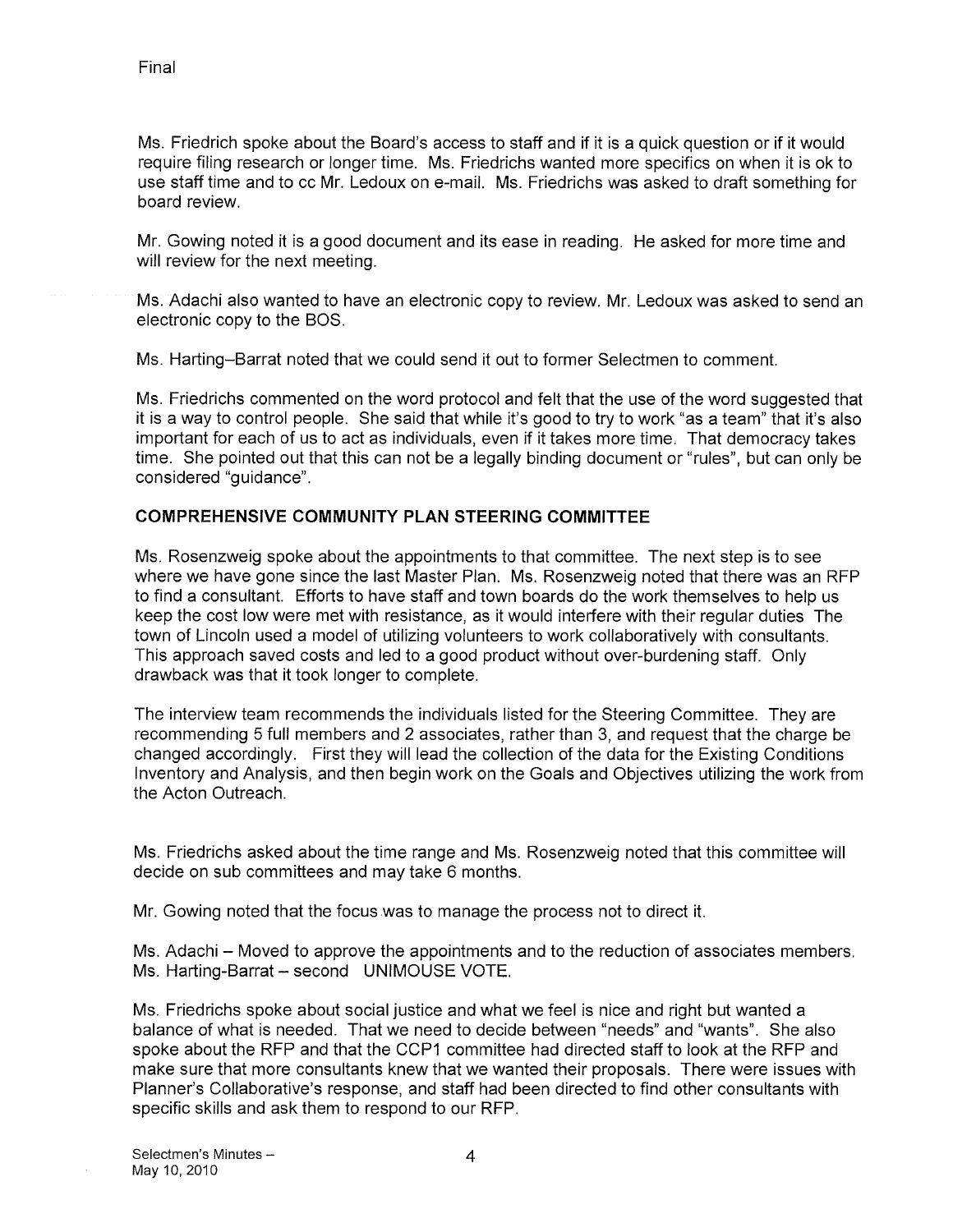Ms. Friedrich spoke about the Board's access to staff and if it is a quick question or if it would require filing research or longer time. Ms. Friedrichs wanted more specifics on when it is ok to use staff time and to cc Mr. Ledoux on e-mail. Ms. Friedrichs was asked to draft something for board review.

Mr. Gowing noted it is a good document and its ease in reading. He asked for more time and will review for the next meeting.

Ms. Adachi also wanted to have an electronic copy to review. Mr. Ledoux was asked to send an electronic copy to the BOS.

Ms. Harting—Barrat noted that we could send it out to former Selectmen to comment.

Ms. Friedrichs commented on the word protocol and felt that the use of the word suggested that it is a way to control people. She said that while it's good to try to work "as a team" that it's also important for each of us to act as individuals, even if it takes more time. That democracy takes time. She pointed out that this can not be a legally binding document or "rules", but can only be considered "guidance".

## COMPREHENSIVE COMMUNITY PLAN STEERING COMMITTEE

Ms. Rosenzweig spoke about the appointments to that committee. The next step is to see where we have gone since the last Master Plan. Ms. Rosenzweig noted that there was an REP to find a consultant. Efforts to have staff and town boards do the work themselves to help us keep the cost low were met with resistance, as it would interfere with their regular duties The town of Lincoln used a model of utilizing volunteers to work collaboratively with consultants. This approach saved costs and led to a good product without over-burdening staff. Only drawback was that it took longer to complete.

The interview team recommends the individuals listed for the Steering Committee. They are recommending 5 full members and 2 associates, rather than 3, and request that the charge be changed accordingly. First they will lead the collection of the data for the Existing Conditions Inventory and Analysis, and then begin work on the Goals and Objectives utilizing the work from the Acton Outreach.

Ms. Friedrichs asked about the time range and Ms. Rosenzweig noted that this committee will decide on sub committees and may take 6 months.

Mr. Gowing noted that the focus was to manage the process not to direct it.

Ms. Adachi — Moved to approve the appointments and to the reduction of associates members. Ms. Harting-Barrat — second UNIMOUSE VOTE.

Ms. Friedrichs spoke about social justice and what we feel is nice and right but wanted a balance of what is needed. That we need to decide between "needs" and "wants". She also spoke about the REP and that the CCP1 committee had directed staff to look at the REP and make sure that more consultants knew that we wanted their proposals. There were issues with Planner's Collaborative's response, and staff had been directed to find other consultants with specific skills and ask them to respond to our REP.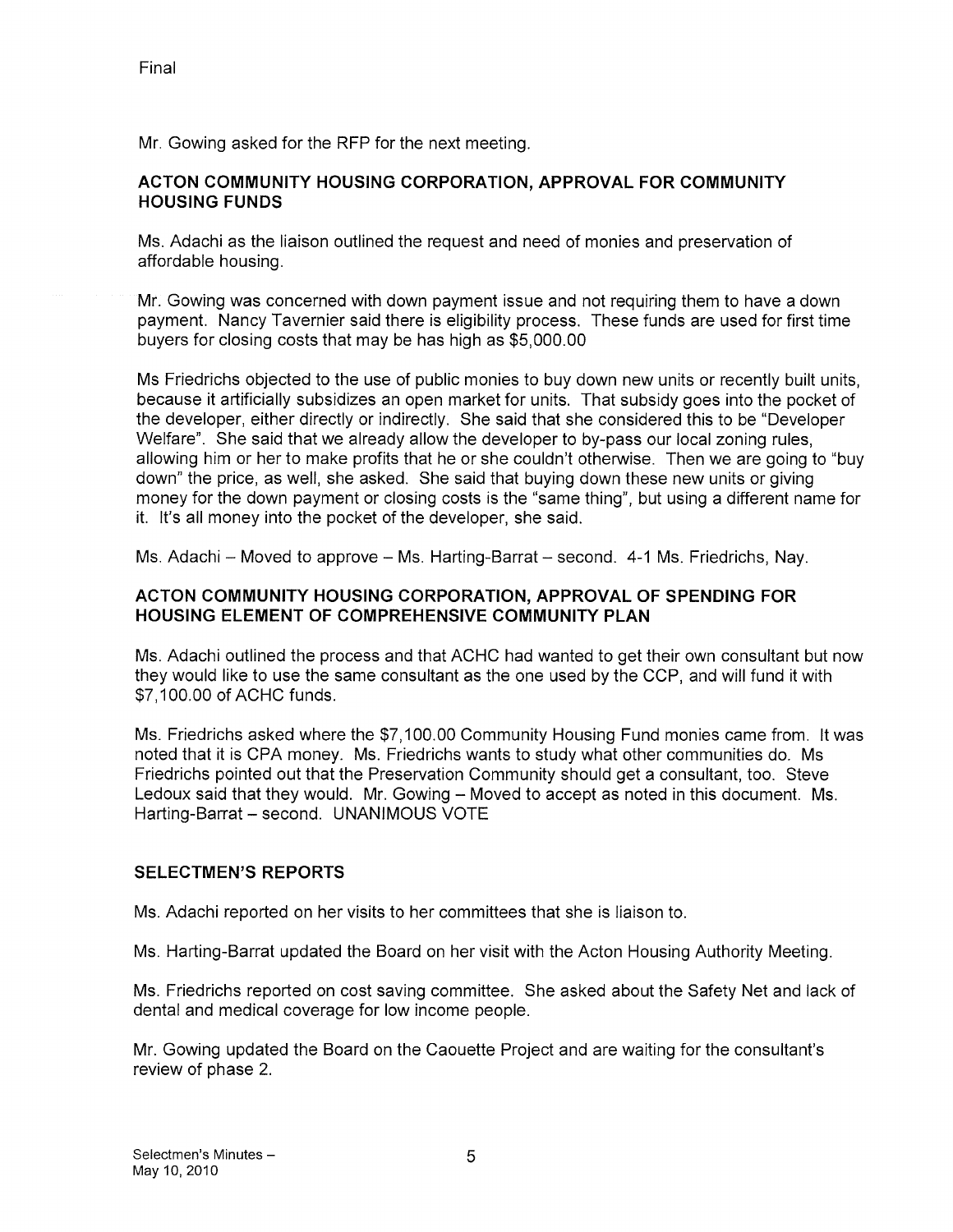Mr. Gowing asked for the RFP for the next meeting.

## ACTON COMMUNITY HOUSING CORPORATION, APPROVAL FOR COMMUNITY HOUSING FUNDS

Ms. Adachi as the liaison outlined the request and need of monies and preservation of affordable housing.

Mr. Gowing was concerned with down payment issue and not requiring them to have a down payment. Nancy Tavernier said there is eligibility process. These funds are used for first time buyers for closing costs that may be has high as \$5,000.00

Ms Friedrichs objected to the use of public monies to buy down new units or recently built units, because it artificially subsidizes an open market for units. That subsidy goes into the pocket of the developer, either directly or indirectly. She said that she considered this to be "Developer Welfare". She said that we already allow the developer to by-pass our local zoning rules, allowing him or her to make profits that he or she couldn't otherwise. Then we are going to "buy down" the price, as well, she asked. She said that buying down these new units or giving money for the down payment or closing costs is the "same thing", but using a different name for it. It's all money into the pocket of the developer, she said.

Ms. Adachi — Moved to approve — Ms. Harting-Barrat — second. 4-1 Ms. Friedrichs, Nay.

## ACTON COMMUNITY HOUSING CORPORATION, APPROVAL OF SPENDING FOR HOUSING ELEMENT OF COMPREHENSIVE COMMUNITY PLAN

Ms. Adachi outlined the process and that ACHC had wanted to get their own consultant but now they would like to use the same consultant as the one used by the CCP, and will fund it with \$7,100.00 of ACHC funds.

Ms. Friedrichs asked where the \$7,100.00 Community Housing Fund monies came from. It was noted that it is CPA money. Ms. Friedrichs wants to study what other communities do. Ms Friedrichs pointed out that the Preservation Community should get a consultant, too. Steve Ledoux said that they would. Mr. Gowing — Moved to accept as noted in this document. Ms. Harting-Barrat — second. UNANIMOUS VOTE

## SELECTMEN'S REPORTS

Ms. Adachi reported on her visits to her committees that she is liaison to.

Ms. Harting-Barrat updated the Board on her visit with the Acton Housing Authority Meeting.

Ms. Friedrichs reported on cost saving committee. She asked about the Safety Net and lack of dental and medical coverage for low income people.

Mr. Gowing updated the Board on the Caouette Project and are waiting for the consultant's review of phase 2.